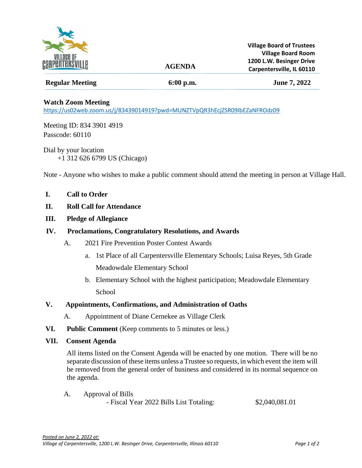

# **AGENDA**

# **Regular Meeting 6:00 p.m. June 7, 2022**

## **Watch Zoom Meeting**

<https://us02web.zoom.us/j/83439014919?pwd=MUNZTVpQR3hEcjZSR09IbEZaNFROdz09>

Meeting ID: 834 3901 4919 Passcode: 60110

Dial by your location +1 312 626 6799 US (Chicago)

Note - Anyone who wishes to make a public comment should attend the meeting in person at Village Hall.

#### **I. Call to Order**

## **II. Roll Call for Attendance**

**III. Pledge of Allegiance**

### **IV. Proclamations, Congratulatory Resolutions, and Awards**

- A. 2021 Fire Prevention Poster Contest Awards
	- a. 1st Place of all Carpentersville Elementary Schools; Luisa Reyes, 5th Grade Meadowdale Elementary School
	- b. Elementary School with the highest participation; Meadowdale Elementary **School**

#### **V. Appointments, Confirmations, and Administration of Oaths**

- A. Appointment of Diane Cernekee as Village Clerk
- **VI. Public Comment** (Keep comments to 5 minutes or less.)
- **VII. Consent Agenda**

All items listed on the Consent Agenda will be enacted by one motion. There will be no separate discussion of these items unless a Trustee so requests, in which event the item will be removed from the general order of business and considered in its normal sequence on the agenda.

A. Approval of Bills - Fiscal Year 2022 Bills List Totaling: \$2,040,081.01